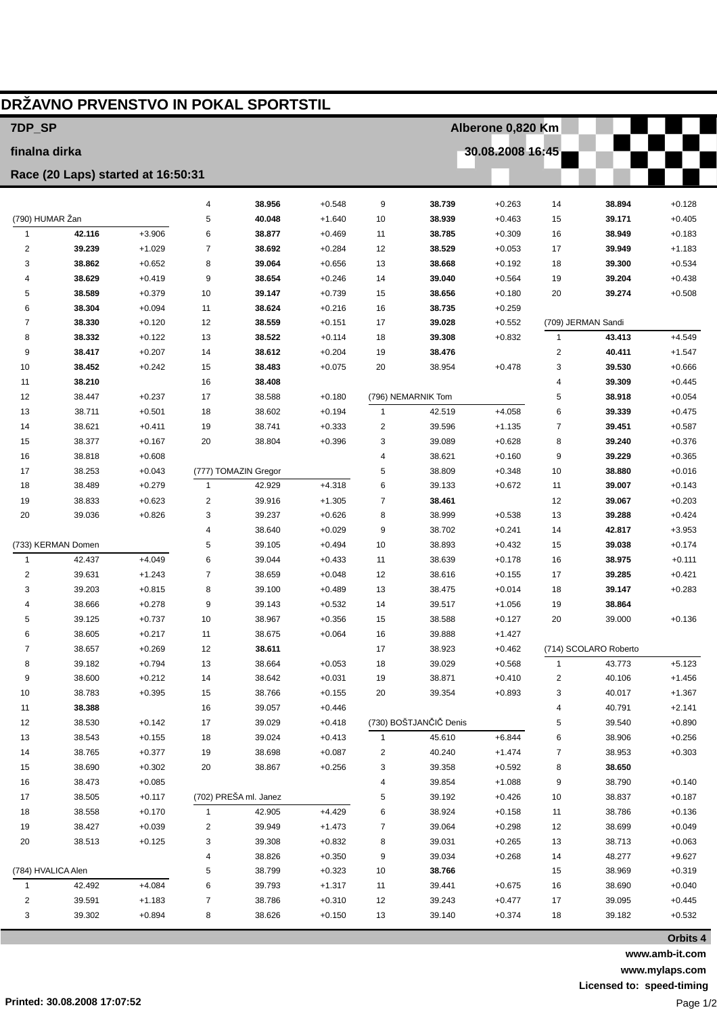| DRŽAVNO PRVENSTVO IN POKAL SPORTSTIL |                                    |                      |                |                       |                      |                   |                        |                      |                         |                       |                      |
|--------------------------------------|------------------------------------|----------------------|----------------|-----------------------|----------------------|-------------------|------------------------|----------------------|-------------------------|-----------------------|----------------------|
| 7DP_SP                               |                                    |                      |                |                       |                      | Alberone 0,820 Km |                        |                      |                         |                       |                      |
| finalna dirka                        |                                    |                      |                |                       |                      | 30.08.2008 16:45  |                        |                      |                         |                       |                      |
|                                      | Race (20 Laps) started at 16:50:31 |                      |                |                       |                      |                   |                        |                      |                         |                       |                      |
|                                      |                                    |                      | 4              | 38.956                | $+0.548$             | 9                 | 38.739                 | $+0.263$             | 14                      | 38.894                | $+0.128$             |
| (790) HUMAR Žan                      |                                    |                      | 5              | 40.048                | $+1.640$             | 10                | 38.939                 | $+0.463$             | 15                      | 39.171                | $+0.405$             |
| $\mathbf{1}$                         | 42.116                             | $+3.906$             | 6              | 38.877                | $+0.469$             | 11                | 38.785                 | $+0.309$             | 16                      | 38.949                | $+0.183$             |
| $\overline{2}$                       | 39.239                             | $+1.029$             | $\overline{7}$ | 38.692                | $+0.284$             | 12                | 38.529                 | $+0.053$             | 17                      | 39.949                | $+1.183$             |
| 3                                    | 38.862                             | $+0.652$             | 8              | 39.064                | $+0.656$             | 13                | 38.668                 | $+0.192$             | 18                      | 39.300                | $+0.534$             |
| 4                                    | 38.629                             | $+0.419$             | 9              | 38.654                | $+0.246$             | 14                | 39.040                 | $+0.564$             | 19                      | 39.204                | $+0.438$             |
| 5                                    | 38.589                             | $+0.379$             | 10             | 39.147                | $+0.739$             | 15                | 38.656                 | $+0.180$             | 20                      | 39.274                | $+0.508$             |
| 6                                    | 38.304                             | $+0.094$             | 11             | 38.624                | $+0.216$             | 16                | 38.735                 | $+0.259$             |                         |                       |                      |
| 7                                    | 38.330                             | $+0.120$             | 12             | 38.559                | $+0.151$             | 17                | 39.028                 | $+0.552$             |                         | (709) JERMAN Sandi    |                      |
| 8                                    | 38.332                             | $+0.122$             | 13             | 38.522                | $+0.114$             | 18                | 39.308                 | $+0.832$             | $\mathbf{1}$            | 43.413                | $+4.549$             |
| 9                                    | 38.417                             | $+0.207$             | 14             | 38.612                | $+0.204$             | 19                | 38.476                 |                      | $\overline{\mathbf{c}}$ | 40.411                | $+1.547$             |
| 10                                   | 38.452                             | $+0.242$             | 15             | 38.483                | $+0.075$             | 20                | 38.954                 | $+0.478$             | 3                       | 39.530                | $+0.666$             |
| 11                                   | 38.210                             |                      | 16             | 38.408                |                      |                   |                        |                      | 4                       | 39.309                | $+0.445$             |
| 12                                   | 38.447                             | $+0.237$             | 17             | 38.588                | $+0.180$             |                   | (796) NEMARNIK Tom     |                      | 5                       | 38.918                | $+0.054$             |
| 13                                   | 38.711                             | $+0.501$             | 18             | 38.602                | $+0.194$             | 1                 | 42.519                 | $+4.058$             | 6                       | 39.339                | $+0.475$             |
| 14<br>15                             | 38.621<br>38.377                   | $+0.411$<br>$+0.167$ | 19<br>20       | 38.741<br>38.804      | $+0.333$<br>$+0.396$ | 2<br>3            | 39.596<br>39.089       | $+1.135$<br>$+0.628$ | 7<br>8                  | 39.451<br>39.240      | $+0.587$             |
| 16                                   | 38.818                             | $+0.608$             |                |                       |                      | 4                 | 38.621                 | $+0.160$             | 9                       | 39.229                | $+0.376$<br>$+0.365$ |
| 17                                   | 38.253                             | $+0.043$             |                | (777) TOMAZIN Gregor  |                      | 5                 | 38.809                 | $+0.348$             | 10                      | 38.880                | $+0.016$             |
| 18                                   | 38.489                             | $+0.279$             | $\mathbf{1}$   | 42.929                | $+4.318$             | 6                 | 39.133                 | $+0.672$             | 11                      | 39.007                | $+0.143$             |
| 19                                   | 38.833                             | $+0.623$             | $\overline{2}$ | 39.916                | $+1.305$             | 7                 | 38.461                 |                      | 12                      | 39.067                | $+0.203$             |
| 20                                   | 39.036                             | $+0.826$             | 3              | 39.237                | $+0.626$             | 8                 | 38.999                 | $+0.538$             | 13                      | 39.288                | $+0.424$             |
|                                      |                                    |                      | $\overline{4}$ | 38.640                | $+0.029$             | 9                 | 38.702                 | $+0.241$             | 14                      | 42.817                | $+3.953$             |
| (733) KERMAN Domen                   |                                    |                      | 5              | 39.105                | $+0.494$             | 10                | 38.893                 | $+0.432$             | 15                      | 39.038                | $+0.174$             |
| $\mathbf{1}$                         | 42.437                             | $+4.049$             | 6              | 39.044                | $+0.433$             | 11                | 38.639                 | $+0.178$             | 16                      | 38.975                | $+0.111$             |
| $\overline{2}$                       | 39.631                             | $+1.243$             | $\overline{7}$ | 38.659                | $+0.048$             | 12                | 38.616                 | $+0.155$             | 17                      | 39.285                | $+0.421$             |
| 3                                    | 39.203                             | $+0.815$             | 8              | 39.100                | $+0.489$             | 13                | 38.475                 | $+0.014$             | 18                      | 39.147                | $+0.283$             |
| 4                                    | 38.666                             | $+0.278$             | 9              | 39.143                | $+0.532$             | 14                | 39.517                 | $+1.056$             | 19                      | 38.864                |                      |
| 5                                    | 39.125                             | $+0.737$             | 10             | 38.967                | $+0.356$             | 15                | 38.588                 | $+0.127$             | 20                      | 39.000                | $+0.136$             |
| 6                                    | 38.605                             | $+0.217$             | 11             | 38.675                | $+0.064$             | 16                | 39.888                 | $+1.427$             |                         |                       |                      |
| $\overline{7}$                       | 38.657                             | $+0.269$             | 12             | 38.611                |                      | 17                | 38.923                 | $+0.462$             |                         | (714) SCOLARO Roberto |                      |
| 8                                    | 39.182                             | $+0.794$             | 13             | 38.664                | $+0.053$             | 18                | 39.029                 | $+0.568$             | $\mathbf{1}$            | 43.773                | $+5.123$             |
| 9                                    | 38.600                             | $+0.212$             | 14             | 38.642                | $+0.031$             | 19                | 38.871                 | $+0.410$             | 2                       | 40.106                | $+1.456$             |
| 10                                   | 38.783                             | $+0.395$             | 15             | 38.766                | $+0.155$             | 20                | 39.354                 | $+0.893$             | 3                       | 40.017                | $+1.367$             |
| 11                                   | 38.388                             |                      | 16             | 39.057                | $+0.446$             |                   | (730) BOŠTJANČIČ Denis |                      | 4                       | 40.791                | $+2.141$             |
| 12<br>13                             | 38.530<br>38.543                   | $+0.142$<br>$+0.155$ | 17<br>18       | 39.029<br>39.024      | $+0.418$<br>$+0.413$ | $\mathbf{1}$      | 45.610                 | $+6.844$             | 5<br>6                  | 39.540<br>38.906      | $+0.890$<br>$+0.256$ |
| 14                                   | 38.765                             | $+0.377$             | 19             | 38.698                | $+0.087$             | 2                 | 40.240                 | $+1.474$             | 7                       | 38.953                | $+0.303$             |
| 15                                   | 38.690                             | $+0.302$             | 20             | 38.867                | $+0.256$             | 3                 | 39.358                 | $+0.592$             | 8                       | 38.650                |                      |
| 16                                   | 38.473                             | $+0.085$             |                |                       |                      | 4                 | 39.854                 | $+1.088$             | 9                       | 38.790                | $+0.140$             |
| 17                                   | 38.505                             | $+0.117$             |                | (702) PREŠA ml. Janez |                      | 5                 | 39.192                 | $+0.426$             | 10                      | 38.837                | $+0.187$             |
| 18                                   | 38.558                             | $+0.170$             | $\mathbf{1}$   | 42.905                | $+4.429$             | 6                 | 38.924                 | $+0.158$             | 11                      | 38.786                | $+0.136$             |
| 19                                   | 38.427                             | $+0.039$             | 2              | 39.949                | $+1.473$             | 7                 | 39.064                 | $+0.298$             | 12                      | 38.699                | $+0.049$             |
| 20                                   | 38.513                             | $+0.125$             | 3              | 39.308                | $+0.832$             | 8                 | 39.031                 | $+0.265$             | 13                      | 38.713                | $+0.063$             |
|                                      |                                    |                      | 4              | 38.826                | $+0.350$             | 9                 | 39.034                 | $+0.268$             | 14                      | 48.277                | $+9.627$             |
| (784) HVALICA Alen                   |                                    |                      | 5              | 38.799                | $+0.323$             | 10                | 38.766                 |                      | 15                      | 38.969                | $+0.319$             |
| 1                                    | 42.492                             | $+4.084$             | 6              | 39.793                | $+1.317$             | 11                | 39.441                 | $+0.675$             | 16                      | 38.690                | $+0.040$             |
| 2                                    | 39.591                             | $+1.183$             | 7              | 38.786                | $+0.310$             | 12                | 39.243                 | $+0.477$             | 17                      | 39.095                | $+0.445$             |
| 3                                    | 39.302                             | $+0.894$             | 8              | 38.626                | $+0.150$             | 13                | 39.140                 | $+0.374$             | 18                      | 39.182                | $+0.532$             |
|                                      |                                    |                      |                |                       |                      |                   |                        |                      |                         |                       |                      |

**Orbits 4 www.amb-it.com www.mylaps.com**